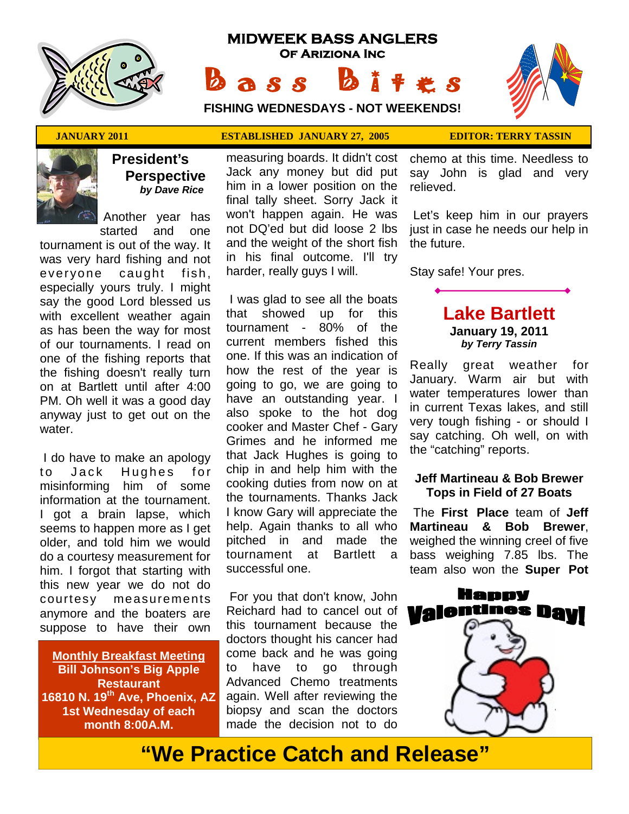

# **MIDWEEK BASS ANGLERS Of Ariziona Inc** Bass Bites

**FISHING WEDNESDAYS - NOT WEEKENDS!**

 ★ ★ ★ ★ ★ ★ ★ ★ ★ ★ ★ ★ ★ ★ ★ ★ ★ ★ ★ ★ ★ ★ ★ ★ ★ ★ ★ ★ ★  $\rightarrow$ ★ ★ ★ ★ ★

### **JANUARY 2011 ESTABLISHED JANUARY 27, 2005 EDITOR: TERRY TASSIN**



# **President's Perspective**   *by Dave Rice*

 Another year has started and one

tournament is out of the way. It was very hard fishing and not everyone caught fish, especially yours truly. I might say the good Lord blessed us with excellent weather again as has been the way for most of our tournaments. I read on one of the fishing reports that the fishing doesn't really turn on at Bartlett until after 4:00 PM. Oh well it was a good day anyway just to get out on the water.

 I do have to make an apology to Jack Hughes for misinforming him of some information at the tournament. I got a brain lapse, which seems to happen more as I get older, and told him we would do a courtesy measurement for him. I forgot that starting with this new year we do not do courtesy measurements anymore and the boaters are suppose to have their own

**Monthly Breakfast Meeting Bill Johnson's Big Apple Restaurant 16810 N. 19th Ave, Phoenix, AZ 1st Wednesday of each month 8:00A.M.** 

measuring boards. It didn't cost Jack any money but did put him in a lower position on the final tally sheet. Sorry Jack it won't happen again. He was not DQ'ed but did loose 2 lbs and the weight of the short fish in his final outcome. I'll try harder, really guys I will.

 I was glad to see all the boats that showed up for this tournament - 80% of the current members fished this one. If this was an indication of how the rest of the year is going to go, we are going to have an outstanding year. I also spoke to the hot dog cooker and Master Chef - Gary Grimes and he informed me that Jack Hughes is going to chip in and help him with the cooking duties from now on at the tournaments. Thanks Jack I know Gary will appreciate the help. Again thanks to all who pitched in and made the tournament at Bartlett a successful one.

 For you that don't know, John Reichard had to cancel out of this tournament because the doctors thought his cancer had come back and he was going to have to go through Advanced Chemo treatments again. Well after reviewing the biopsy and scan the doctors made the decision not to do

chemo at this time. Needless to say John is glad and very relieved.

 Let's keep him in our prayers just in case he needs our help in the future.

Stay safe! Your pres.

# **Lake Bartlett January 19, 2011**  *by Terry Tassin*

Really great weather for January. Warm air but with water temperatures lower than in current Texas lakes, and still very tough fishing - or should I say catching. Oh well, on with the "catching" reports.

### **Jeff Martineau & Bob Brewer Tops in Field of 27 Boats**

 The **First Place** team of **Jeff Martineau & Bob Brewer**, weighed the winning creel of five bass weighing 7.85 lbs. The team also won the **Super Pot** 



**"We Practice Catch and Release"**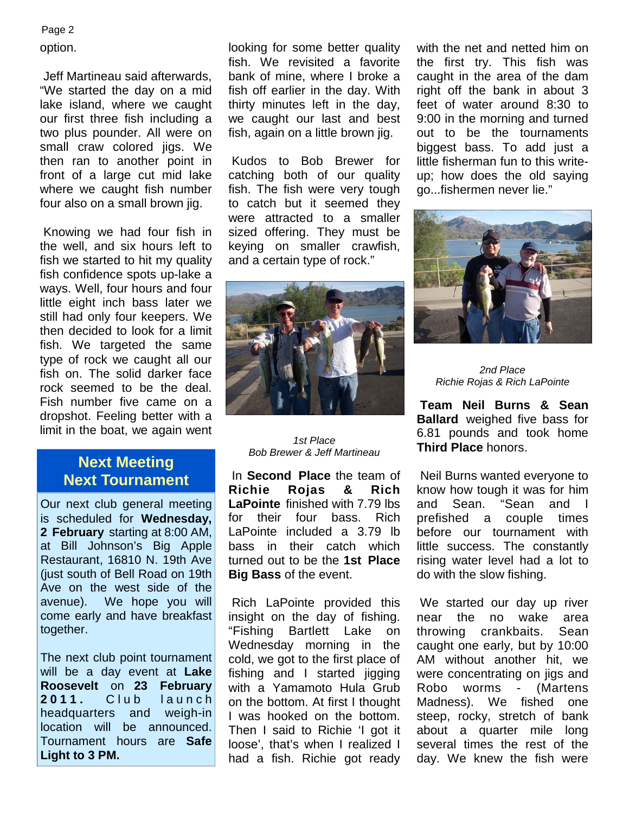#### Page 2

option.

 Jeff Martineau said afterwards, "We started the day on a mid lake island, where we caught our first three fish including a two plus pounder. All were on small craw colored jigs. We then ran to another point in front of a large cut mid lake where we caught fish number four also on a small brown jig.

 Knowing we had four fish in the well, and six hours left to fish we started to hit my quality fish confidence spots up-lake a ways. Well, four hours and four little eight inch bass later we still had only four keepers. We then decided to look for a limit fish. We targeted the same type of rock we caught all our fish on. The solid darker face rock seemed to be the deal. Fish number five came on a dropshot. Feeling better with a limit in the boat, we again went

# **Next Meeting Next Tournament**

Our next club general meeting is scheduled for **Wednesday, 2 February** starting at 8:00 AM, at Bill Johnson's Big Apple Restaurant, 16810 N. 19th Ave (just south of Bell Road on 19th Ave on the west side of the avenue). We hope you will come early and have breakfast together.

The next club point tournament will be a day event at **Lake Roosevelt** on **23 February 2011.** Club launch headquarters and weigh-in location will be announced. Tournament hours are **Safe Light to 3 PM.**

looking for some better quality fish. We revisited a favorite bank of mine, where I broke a fish off earlier in the day. With thirty minutes left in the day, we caught our last and best fish, again on a little brown jig.

 Kudos to Bob Brewer for catching both of our quality fish. The fish were very tough to catch but it seemed they were attracted to a smaller sized offering. They must be keying on smaller crawfish, and a certain type of rock."



#### *1st Place Bob Brewer & Jeff Martineau*

 In **Second Place** the team of **Richie Rojas & Rich LaPointe** finished with 7.79 lbs for their four bass. Rich LaPointe included a 3.79 lb bass in their catch which turned out to be the **1st Place Big Bass** of the event.

 Rich LaPointe provided this insight on the day of fishing. "Fishing Bartlett Lake on Wednesday morning in the cold, we got to the first place of fishing and I started jigging with a Yamamoto Hula Grub on the bottom. At first I thought I was hooked on the bottom. Then I said to Richie 'I got it loose', that's when I realized I had a fish. Richie got ready with the net and netted him on the first try. This fish was caught in the area of the dam right off the bank in about 3 feet of water around 8:30 to 9:00 in the morning and turned out to be the tournaments biggest bass. To add just a little fisherman fun to this writeup; how does the old saying go...fishermen never lie."



*2nd Place Richie Rojas & Rich LaPointe* 

**Team Neil Burns & Sean Ballard** weighed five bass for 6.81 pounds and took home **Third Place** honors.

 Neil Burns wanted everyone to know how tough it was for him and Sean. "Sean and I prefished a couple times before our tournament with little success. The constantly rising water level had a lot to do with the slow fishing.

 We started our day up river near the no wake area throwing crankbaits. Sean caught one early, but by 10:00 AM without another hit, we were concentrating on jigs and Robo worms - (Martens Madness). We fished one steep, rocky, stretch of bank about a quarter mile long several times the rest of the day. We knew the fish were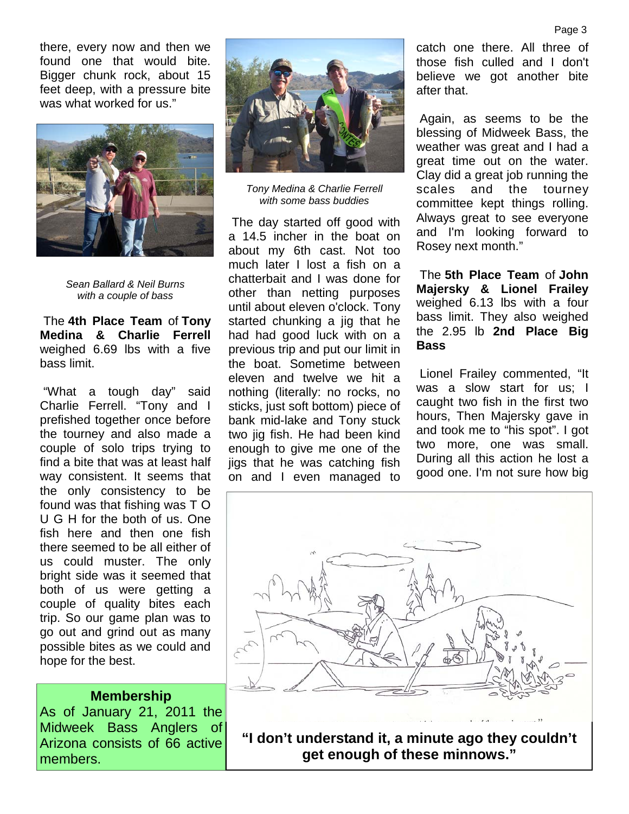there, every now and then we found one that would bite. Bigger chunk rock, about 15 feet deep, with a pressure bite was what worked for us."



*Sean Ballard & Neil Burns with a couple of bass* 

 The **4th Place Team** of **Tony Medina & Charlie Ferrell**  weighed 6.69 lbs with a five bass limit.

 "What a tough day" said Charlie Ferrell. "Tony and I prefished together once before the tourney and also made a couple of solo trips trying to find a bite that was at least half way consistent. It seems that the only consistency to be found was that fishing was T O U G H for the both of us. One fish here and then one fish there seemed to be all either of us could muster. The only bright side was it seemed that both of us were getting a couple of quality bites each trip. So our game plan was to go out and grind out as many possible bites as we could and hope for the best.

#### **Membership**

As of January 21, 2011 the Midweek Bass Anglers of Arizona consists of 66 active members.



*Tony Medina & Charlie Ferrell with some bass buddies* 

 The day started off good with a 14.5 incher in the boat on about my 6th cast. Not too much later I lost a fish on a chatterbait and I was done for other than netting purposes until about eleven o'clock. Tony started chunking a jig that he had had good luck with on a previous trip and put our limit in the boat. Sometime between eleven and twelve we hit a nothing (literally: no rocks, no sticks, just soft bottom) piece of bank mid-lake and Tony stuck two jig fish. He had been kind enough to give me one of the jigs that he was catching fish on and I even managed to

catch one there. All three of those fish culled and I don't believe we got another bite after that.

 Again, as seems to be the blessing of Midweek Bass, the weather was great and I had a great time out on the water. Clay did a great job running the scales and the tourney committee kept things rolling. Always great to see everyone and I'm looking forward to Rosey next month."

 The **5th Place Team** of **John Majersky & Lionel Frailey**  weighed 6.13 lbs with a four bass limit. They also weighed the 2.95 lb **2nd Place Big Bass** 

 Lionel Frailey commented, "It was a slow start for us; I caught two fish in the first two hours, Then Majersky gave in and took me to "his spot". I got two more, one was small. During all this action he lost a good one. I'm not sure how big



**"I don't understand it, a minute ago they couldn't get enough of these minnows."**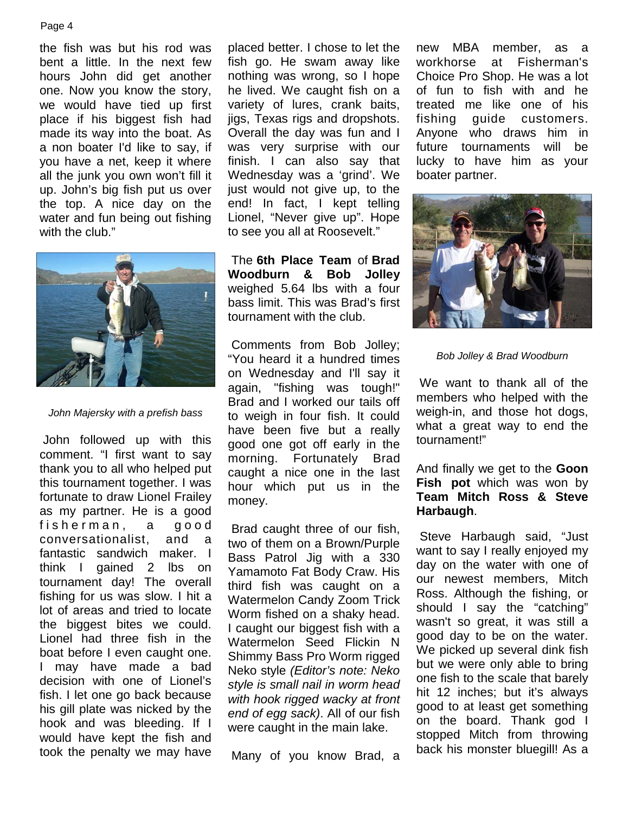#### Page 4

the fish was but his rod was bent a little. In the next few hours John did get another one. Now you know the story, we would have tied up first place if his biggest fish had made its way into the boat. As a non boater I'd like to say, if you have a net, keep it where all the junk you own won't fill it up. John's big fish put us over the top. A nice day on the water and fun being out fishing with the club."



*John Majersky with a prefish bass* 

 John followed up with this comment. "I first want to say thank you to all who helped put this tournament together. I was fortunate to draw Lionel Frailey as my partner. He is a good fisherman, a good conversationalist, and a fantastic sandwich maker. I think I gained 2 lbs on tournament day! The overall fishing for us was slow. I hit a lot of areas and tried to locate the biggest bites we could. Lionel had three fish in the boat before I even caught one. I may have made a bad decision with one of Lionel's fish. I let one go back because his gill plate was nicked by the hook and was bleeding. If I would have kept the fish and took the penalty we may have

placed better. I chose to let the fish go. He swam away like nothing was wrong, so I hope he lived. We caught fish on a variety of lures, crank baits, jigs, Texas rigs and dropshots. Overall the day was fun and I was very surprise with our finish. I can also say that Wednesday was a 'grind'. We just would not give up, to the end! In fact, I kept telling Lionel, "Never give up". Hope to see you all at Roosevelt."

 The **6th Place Team** of **Brad Woodburn & Bob Jolley**  weighed 5.64 lbs with a four bass limit. This was Brad's first tournament with the club.

 Comments from Bob Jolley; "You heard it a hundred times on Wednesday and I'll say it again, "fishing was tough!" Brad and I worked our tails off to weigh in four fish. It could have been five but a really good one got off early in the morning. Fortunately Brad caught a nice one in the last hour which put us in the money.

 Brad caught three of our fish, two of them on a Brown/Purple Bass Patrol Jig with a 330 Yamamoto Fat Body Craw. His third fish was caught on a Watermelon Candy Zoom Trick Worm fished on a shaky head. I caught our biggest fish with a Watermelon Seed Flickin N Shimmy Bass Pro Worm rigged Neko style *(Editor's note: Neko style is small nail in worm head with hook rigged wacky at front end of egg sack)*. All of our fish were caught in the main lake.

Many of you know Brad, a

new MBA member, as a workhorse at Fisherman's Choice Pro Shop. He was a lot of fun to fish with and he treated me like one of his fishing guide customers. Anyone who draws him in future tournaments will be lucky to have him as your boater partner.



*Bob Jolley & Brad Woodburn* 

 We want to thank all of the members who helped with the weigh-in, and those hot dogs, what a great way to end the tournament!"

#### And finally we get to the **Goon Fish pot** which was won by **Team Mitch Ross & Steve Harbaugh**.

 Steve Harbaugh said, "Just want to say I really enjoyed my day on the water with one of our newest members, Mitch Ross. Although the fishing, or should I say the "catching" wasn't so great, it was still a good day to be on the water. We picked up several dink fish but we were only able to bring one fish to the scale that barely hit 12 inches; but it's always good to at least get something on the board. Thank god I stopped Mitch from throwing back his monster bluegill! As a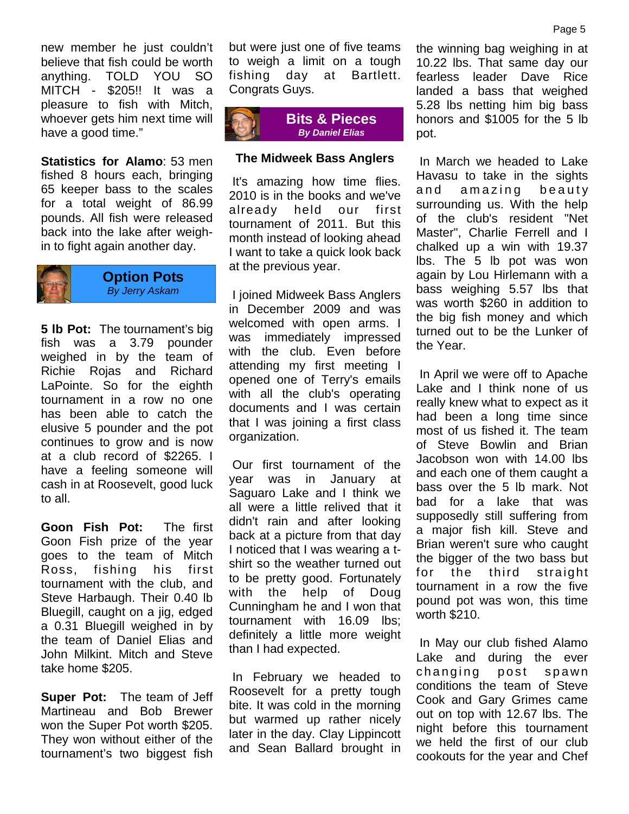new member he just couldn't believe that fish could be worth anything. TOLD YOU SO MITCH - \$205!! It was a pleasure to fish with Mitch, whoever gets him next time will have a good time."

**Statistics for Alamo**: 53 men fished 8 hours each, bringing 65 keeper bass to the scales for a total weight of 86.99 pounds. All fish were released back into the lake after weighin to fight again another day.



#### **Option Pots**  *By Jerry Askam*

**5 lb Pot:** The tournament's big fish was a 3.79 pounder weighed in by the team of Richie Rojas and Richard LaPointe. So for the eighth tournament in a row no one has been able to catch the elusive 5 pounder and the pot continues to grow and is now at a club record of \$2265. I have a feeling someone will cash in at Roosevelt, good luck to all.

**Goon Fish Pot:** The first Goon Fish prize of the year goes to the team of Mitch Ross, fishing his first tournament with the club, and Steve Harbaugh. Their 0.40 lb Bluegill, caught on a jig, edged a 0.31 Bluegill weighed in by the team of Daniel Elias and John Milkint. Mitch and Steve take home \$205.

**Super Pot:** The team of Jeff Martineau and Bob Brewer won the Super Pot worth \$205. They won without either of the tournament's two biggest fish but were just one of five teams to weigh a limit on a tough fishing day at Bartlett. Congrats Guys.



#### **The Midweek Bass Anglers**

 It's amazing how time flies. 2010 is in the books and we've already held our first tournament of 2011. But this month instead of looking ahead I want to take a quick look back at the previous year.

 I joined Midweek Bass Anglers in December 2009 and was welcomed with open arms. I was immediately impressed with the club. Even before attending my first meeting I opened one of Terry's emails with all the club's operating documents and I was certain that I was joining a first class organization.

 Our first tournament of the year was in January at Saguaro Lake and I think we all were a little relived that it didn't rain and after looking back at a picture from that day I noticed that I was wearing a tshirt so the weather turned out to be pretty good. Fortunately with the help of Doug Cunningham he and I won that tournament with 16.09 lbs; definitely a little more weight than I had expected.

 In February we headed to Roosevelt for a pretty tough bite. It was cold in the morning but warmed up rather nicely later in the day. Clay Lippincott and Sean Ballard brought in the winning bag weighing in at 10.22 lbs. That same day our fearless leader Dave Rice landed a bass that weighed 5.28 lbs netting him big bass honors and \$1005 for the 5 lb pot.

 In March we headed to Lake Havasu to take in the sights and amazing beauty surrounding us. With the help of the club's resident "Net Master", Charlie Ferrell and I chalked up a win with 19.37 lbs. The 5 lb pot was won again by Lou Hirlemann with a bass weighing 5.57 lbs that was worth \$260 in addition to the big fish money and which turned out to be the Lunker of the Year.

 In April we were off to Apache Lake and I think none of us really knew what to expect as it had been a long time since most of us fished it. The team of Steve Bowlin and Brian Jacobson won with 14.00 lbs and each one of them caught a bass over the 5 lb mark. Not bad for a lake that was supposedly still suffering from a major fish kill. Steve and Brian weren't sure who caught the bigger of the two bass but for the third straight tournament in a row the five pound pot was won, this time worth \$210.

 In May our club fished Alamo Lake and during the ever changing post spawn conditions the team of Steve Cook and Gary Grimes came out on top with 12.67 lbs. The night before this tournament we held the first of our club cookouts for the year and Chef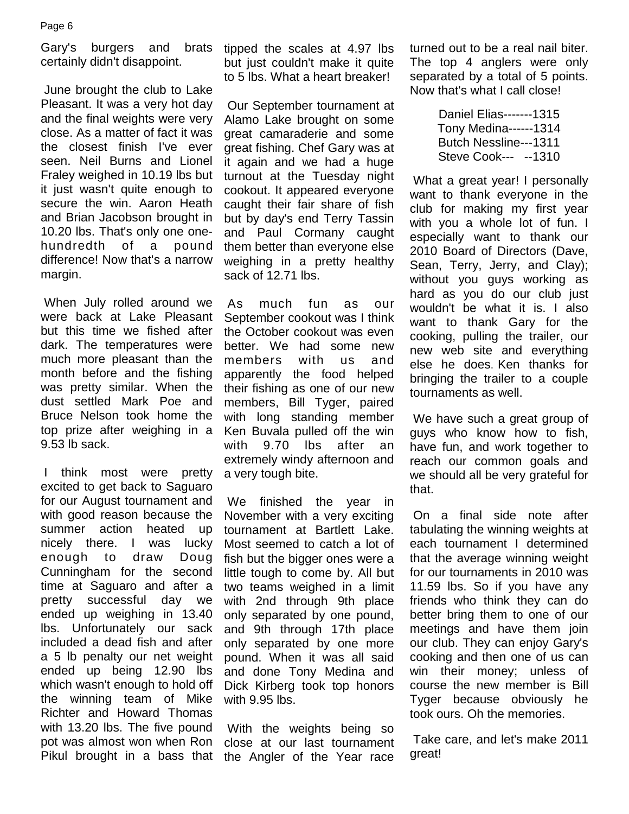Gary's burgers and brats certainly didn't disappoint.

 June brought the club to Lake Pleasant. It was a very hot day and the final weights were very close. As a matter of fact it was the closest finish I've ever seen. Neil Burns and Lionel Fraley weighed in 10.19 lbs but it just wasn't quite enough to secure the win. Aaron Heath and Brian Jacobson brought in 10.20 lbs. That's only one onehundredth of a pound difference! Now that's a narrow margin.

 When July rolled around we were back at Lake Pleasant but this time we fished after dark. The temperatures were much more pleasant than the month before and the fishing was pretty similar. When the dust settled Mark Poe and Bruce Nelson took home the top prize after weighing in a 9.53 lb sack.

 I think most were pretty excited to get back to Saguaro for our August tournament and with good reason because the summer action heated up nicely there. I was lucky enough to draw Doug Cunningham for the second time at Saguaro and after a pretty successful day we ended up weighing in 13.40 lbs. Unfortunately our sack included a dead fish and after a 5 lb penalty our net weight ended up being 12.90 lbs which wasn't enough to hold off the winning team of Mike Richter and Howard Thomas with 13.20 lbs. The five pound pot was almost won when Ron Pikul brought in a bass that

tipped the scales at 4.97 lbs but just couldn't make it quite to 5 lbs. What a heart breaker!

 Our September tournament at Alamo Lake brought on some great camaraderie and some great fishing. Chef Gary was at it again and we had a huge turnout at the Tuesday night cookout. It appeared everyone caught their fair share of fish but by day's end Terry Tassin and Paul Cormany caught them better than everyone else weighing in a pretty healthy sack of 12.71 lbs.

 As much fun as our September cookout was I think the October cookout was even better. We had some new members with us and apparently the food helped their fishing as one of our new members, Bill Tyger, paired with long standing member Ken Buvala pulled off the win with 9.70 lbs after an extremely windy afternoon and a very tough bite.

 We finished the year in November with a very exciting tournament at Bartlett Lake. Most seemed to catch a lot of fish but the bigger ones were a little tough to come by. All but two teams weighed in a limit with 2nd through 9th place only separated by one pound, and 9th through 17th place only separated by one more pound. When it was all said and done Tony Medina and Dick Kirberg took top honors with 9.95 lbs.

 With the weights being so close at our last tournament the Angler of the Year race turned out to be a real nail biter. The top 4 anglers were only separated by a total of 5 points. Now that's what I call close!

> Daniel Elias-------1315 Tony Medina------1314 Butch Nessline---1311 Steve Cook--- --1310

 What a great year! I personally want to thank everyone in the club for making my first year with you a whole lot of fun. I especially want to thank our 2010 Board of Directors (Dave, Sean, Terry, Jerry, and Clay); without you guys working as hard as you do our club just wouldn't be what it is. I also want to thank Gary for the cooking, pulling the trailer, our new web site and everything else he does. Ken thanks for bringing the trailer to a couple tournaments as well.

 We have such a great group of guys who know how to fish, have fun, and work together to reach our common goals and we should all be very grateful for that.

 On a final side note after tabulating the winning weights at each tournament I determined that the average winning weight for our tournaments in 2010 was 11.59 lbs. So if you have any friends who think they can do better bring them to one of our meetings and have them join our club. They can enjoy Gary's cooking and then one of us can win their money; unless of course the new member is Bill Tyger because obviously he took ours. Oh the memories.

 Take care, and let's make 2011 great!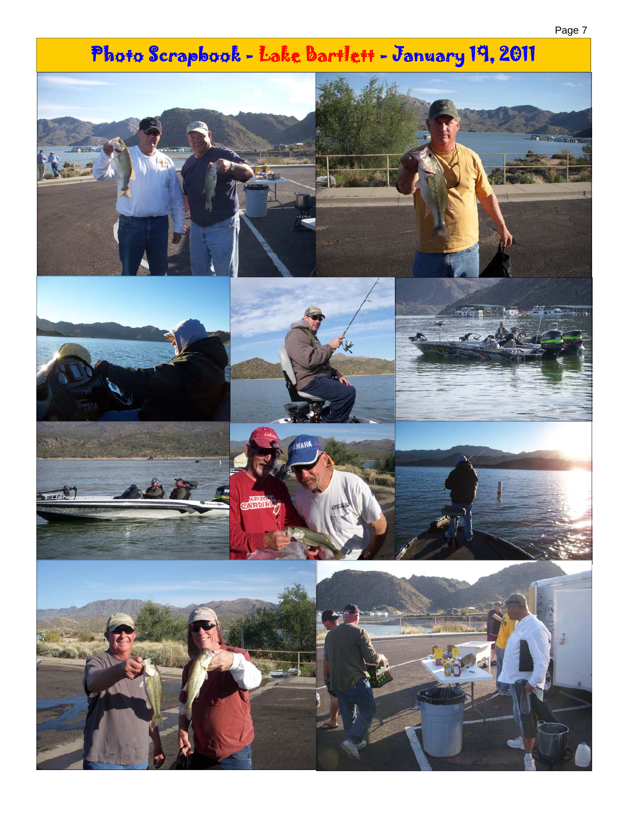